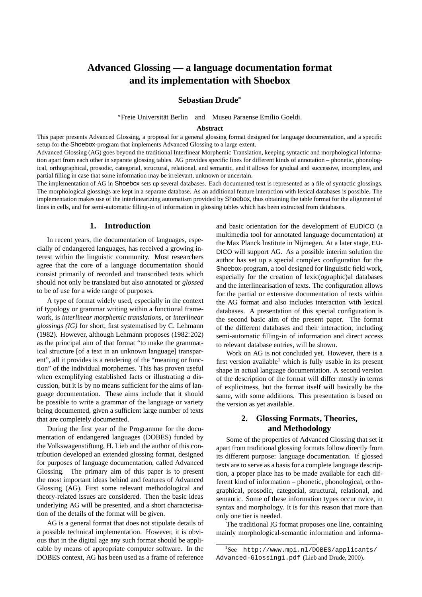# **Advanced Glossing — a language documentation format and its implementation with Shoebox**

**Sebastian Drude**

\*Freie Universität Berlin and Museu Paraense Emílio Goeldi.

#### **Abstract**

This paper presents Advanced Glossing, a proposal for a general glossing format designed for language documentation, and a specific setup for the Shoebox-program that implements Advanced Glossing to a large extent.

Advanced Glossing (AG) goes beyond the traditional Interlinear Morphemic Translation, keeping syntactic and morphological information apart from each other in separate glossing tables. AG provides specific lines for different kinds of annotation – phonetic, phonological, orthographical, prosodic, categorial, structural, relational, and semantic, and it allows for gradual and successive, incomplete, and partial filling in case that some information may be irrelevant, unknown or uncertain.

The implementation of AG in Shoebox sets up several databases. Each documented text is represented as a file of syntactic glossings. The morphological glossings are kept in a separate database. As an additional feature interaction with lexical databases is possible. The implementation makes use of the interlinearizing automatism provided by Shoebox, thus obtaining the table format for the alignment of lines in cells, and for semi-automatic filling-in of information in glossing tables which has been extracted from databases.

#### **1. Introduction**

In recent years, the documentation of languages, especially of endangered languages, has received a growing interest within the linguistic community. Most researchers agree that the core of a language documentation should consist primarily of recorded and transcribed texts which should not only be translated but also annotated or *glossed* to be of use for a wide range of purposes.

A type of format widely used, especially in the context of typology or grammar writing within a functional framework, is *interlinear morphemic translations*, or *interlinear glossings (IG)* for short, first systematised by C. Lehmann (1982). However, although Lehmann proposes (1982:202) as the principal aim of that format "to make the grammatical structure [of a text in an unknown language] transparent", all it provides is a rendering of the "meaning or function" of the individual morphemes. This has proven useful when exemplifying established facts or illustrating a discussion, but it is by no means sufficient for the aims of language documentation. These aims include that it should be possible to write a grammar of the language or variety being documented, given a sufficient large number of texts that are completely documented.

During the first year of the Programme for the documentation of endangered languages (DOBES) funded by the Volkswagenstiftung, H. Lieb and the author of this contribution developed an extended glossing format, designed for purposes of language documentation, called Advanced Glossing. The primary aim of this paper is to present the most important ideas behind and features of Advanced Glossing (AG). First some relevant methodological and theory-related issues are considered. Then the basic ideas underlying AG will be presented, and a short characterisation of the details of the format will be given.

AG is a general format that does not stipulate details of a possible technical implementation. However, it is obvious that in the digital age any such format should be applicable by means of appropriate computer software. In the DOBES context, AG has been used as a frame of reference

and basic orientation for the development of EUDICO (a multimedia tool for annotated language documentation) at the Max Planck Institute in Nijmegen. At a later stage, EU-DICO will support AG. As a possible interim solution the author has set up a special complex configuration for the Shoebox-program, a tool designed for linguistic field work, especially for the creation of lexic(ographic)al databases and the interlinearisation of texts. The configuration allows for the partial or extensive documentation of texts within the AG format and also includes interaction with lexical databases. A presentation of this special configuration is the second basic aim of the present paper. The format of the different databases and their interaction, including semi-automatic filling-in of information and direct access to relevant database entries, will be shown.

Work on AG is not concluded yet. However, there is a first version available<sup>1</sup> which is fully usable in its present shape in actual language documentation. A second version of the description of the format will differ mostly in terms of explicitness, but the format itself will basically be the same, with some additions. This presentation is based on the version as yet available.

# **2. Glossing Formats, Theories, and Methodology**

Some of the properties of Advanced Glossing that set it apart from traditional glossing formats follow directly from its different purpose: language documentation. If glossed texts are to serve as a basis for a complete language description, a proper place has to be made available for each different kind of information – phonetic, phonological, orthographical, prosodic, categorial, structural, relational, and semantic. Some of these information types occur twice, in syntax and morphology. It is for this reason that more than only one tier is needed.

The traditional IG format proposes one line, containing mainly morphological-semantic information and informa-

<sup>1</sup> See http://www.mpi.nl/DOBES/applicants/ Advanced-Glossing1.pdf (Lieb and Drude, 2000).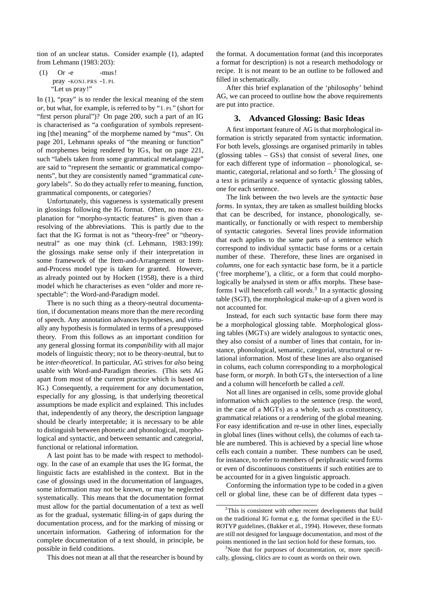tion of an unclear status. Consider example (1), adapted from Lehmann (1983:203):

 $(1)$  Or -e -mus! pray -KONJ. PRS -1. PL "Let us pray!"

In (1), "pray" is to render the lexical meaning of the stem *or*, but what, for example, is referred to by "1. PL" (short for "first person plural")? On page 200, such a part of an IG is characterised as "a configuration of symbols representing [the] meaning" of the morpheme named by "mus". On page 201, Lehmann speaks of "the meaning or function" of morphemes being rendered by IGs, but on page 221, such "labels taken from some grammatical metalanguage" are said to "represent the semantic or grammatical components", but they are consistently named "grammatical *category* labels". So do they actually refer to meaning, function, grammatical components, or categories?

Unfortunately, this vagueness is systematically present in glossings following the IG format. Often, no more explanation for "morpho-syntactic features" is given than a resolving of the abbreviations. This is partly due to the fact that the IG format is not as "theory-free" or "theoryneutral" as one may think (cf. Lehmann, 1983:199): the glossings make sense only if their interpretation in some framework of the Item-and-Arrangement or Itemand-Process model type is taken for granted. However, as already pointed out by Hockett (1958), there is a third model which he characterises as even "older and more respectable": the Word-and-Paradigm model.

There is no such thing as a theory-neutral documentation, if documentation means more than the mere recording of speech. Any annotation advances hypotheses, and virtually any hypothesis is formulated in terms of a presupposed theory. From this follows as an important condition for any general glossing format its *compatibility* with all major models of linguistic theory; not to be theory-neutral, but to be *inter-theoretical*. In particular, AG strives for *also* being usable with Word-and-Paradigm theories. (This sets AG apart from most of the current practice which is based on IG.) Consequently, a requirement for any documentation, especially for any glossing, is that underlying theoretical assumptions be made explicit and explained. This includes that, independently of any theory, the description language should be clearly interpretable; it is necessary to be able to distinguish between phonetic and phonological, morphological and syntactic, and between semantic and categorial, functional or relational information.

A last point has to be made with respect to methodology. In the case of an example that uses the IG format, the linguistic facts are established in the context. But in the case of glossings used in the documentation of languages, some information may not be known, or may be neglected systematically. This means that the documentation format must allow for the partial documentation of a text as well as for the gradual, systematic filling-in of gaps during the documentation process, and for the marking of missing or uncertain information. Gathering of information for the complete documentation of a text should, in principle, be possible in field conditions.

This does not mean at all that the researcher is bound by

the format. A documentation format (and this incorporates a format for description) is not a research methodology or recipe. It is not meant to be an outline to be followed and filled in schematically.

After this brief explanation of the 'philosophy' behind AG, we can proceed to outline how the above requirements are put into practice.

#### **3. Advanced Glossing: Basic Ideas**

A first important feature of AG is that morphological information is strictly separated from syntactic information. For both levels, glossings are organised primarily in tables (glossing tables – GSs) that consist of several *lines*, one for each different type of information – phonological, semantic, categorial, relational and so forth.<sup>2</sup> The glossing of a text is primarily a sequence of syntactic glossing tables, one for each sentence.

The link between the two levels are the *syntactic base forms*. In syntax, they are taken as smallest building blocks that can be described, for instance, phonologically, semantically, or functionally or with respect to membership of syntactic categories. Several lines provide information that each applies to the same parts of a sentence which correspond to individual syntactic base forms or a certain number of these. Therefore, these lines are organised in *columns*, one for each syntactic base form, be it a particle ('free morpheme'), a clitic, or a form that could morphologically be analysed in stem or affix morphs. These baseforms I will henceforth call *words*. <sup>3</sup> In a syntactic glossing table (SGT), the morphological make-up of a given word is not accounted for.

Instead, for each such syntactic base form there may be a morphological glossing table. Morphological glossing tables (MGTs) are widely analogous to syntactic ones, they also consist of a number of lines that contain, for instance, phonological, semantic, categorial, structural or relational information. Most of these lines are also organised in colums, each column corresponding to a morphological base form, or *morph*. In both GTs, the intersection of a line and a column will henceforth be called a *cell*.

Not all lines are organised in cells, some provide global information which applies to the sentence (resp. the word, in the case of a MGTs) as a whole, such as constituency, grammatical relations or a rendering of the global meaning. For easy identification and re-use in other lines, especially in global lines (lines without cells), the columns of each table are numbered. This is achieved by a special line whose cells each contain a number. These numbers can be used, for instance, to refer to members of periphrastic word forms or even of discontinuous constituents if such entities are to be accounted for in a given linguistic approach.

Conforming the information type to be coded in a given cell or global line, these can be of different data types –

 $2$ This is consistent with other recent developments that build on the traditional IG format e.g. the format specified in the EU-ROTYP guidelines, (Bakker et al., 1994). However, these formats are still not designed for language documentation, and most of the points mentioned in the last section hold for these formats, too.

<sup>&</sup>lt;sup>3</sup>Note that for purposes of documentation, or, more specifically, glossing, clitics are to count as words on their own.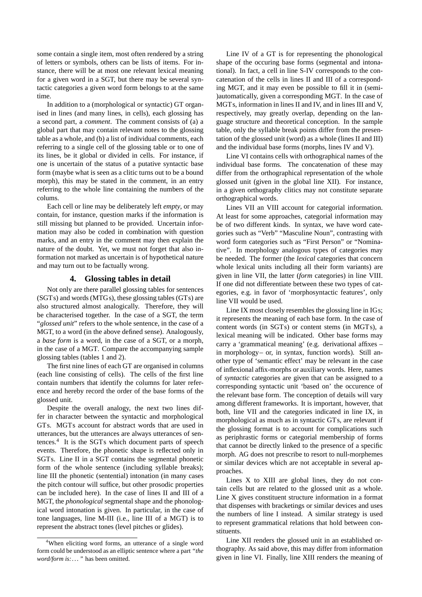some contain a single item, most often rendered by a string of letters or symbols, others can be lists of items. For instance, there will be at most one relevant lexical meaning for a given word in a SGT, but there may be several syntactic categories a given word form belongs to at the same time.

In addition to a (morphological or syntactic) GT organised in lines (and many lines, in cells), each glossing has a second part, a *comment*. The comment consists of (a) a global part that may contain relevant notes to the glossing table as a whole, and (b) a list of individual comments, each referring to a single cell of the glossing table or to one of its lines, be it global or divided in cells. For instance, if one is uncertain of the status of a putative syntactic base form (maybe what is seen as a clitic turns out to be a bound morph), this may be stated in the comment, in an entry referring to the whole line containing the numbers of the colums.

Each cell or line may be deliberately left *empty*, or may contain, for instance, question marks if the information is still missing but planned to be provided. Uncertain information may also be coded in combination with question marks, and an entry in the comment may then explain the nature of the doubt. Yet, we must not forget that also information not marked as uncertain is of hypothetical nature and may turn out to be factually wrong.

### **4. Glossing tables in detail**

Not only are there parallel glossing tables for sentences (SGTs) and words (MTGs), these glossing tables (GTs) are also structured almost analogically. Therefore, they will be characterised together. In the case of a SGT, the term "*glossed unit*" refers to the whole sentence, in the case of a MGT, to a word (in the above defined sense). Analogously, a *base form* is a word, in the case of a SGT, or a morph, in the case of a MGT. Compare the accompanying sample glossing tables (tables 1 and 2).

The first nine lines of each GT are organised in columns (each line consisting of cells). The cells of the first line contain numbers that identify the columns for later reference and hereby record the order of the base forms of the glossed unit.

Despite the overall analogy, the next two lines differ in character between the syntactic and morphological GTs. MGTs account for abstract words that are used in utterances, but the utterances are always utterances of sentences.<sup>4</sup> It is the SGTs which document parts of speech events. Therefore, the phonetic shape is reflected only in SGTs. Line II in a SGT contains the segmental phonetic form of the whole sentence (including syllable breaks); line III the phonetic (sentential) intonation (in many cases the pitch contour will suffice, but other prosodic properties can be included here). In the case of lines II and III of a MGT, the *phonological* segmental shape and the phonological word intonation is given. In particular, in the case of tone languages, line M-III (i.e., line III of a MGT) is to represent the abstract tones (level pitches or glides).

Line IV of a GT is for representing the phonological shape of the occuring base forms (segmental and intonational). In fact, a cell in line S-IV corresponds to the concatenation of the cells in lines II and III of a corresponding MGT, and it may even be possible to fill it in (semi- )automatically, given a corresponding MGT. In the case of MGTs, information in lines II and IV, and in lines III and V, respectively, may greatly overlap, depending on the language structure and theoretical conception. In the sample table, only the syllable break points differ from the presentation of the glossed unit (word) as a whole (lines II and III) and the individual base forms (morphs, lines IV and V).

Line VI contains cells with orthographical names of the individual base forms. The concatenation of these may differ from the orthographical representation of the whole glossed unit (given in the global line XII). For instance, in a given orthography clitics may not constitute separate orthographical words.

Lines VII an VIII account for categorial information. At least for some approaches, categorial information may be of two different kinds. In syntax, we have word categories such as "Verb" "Masculine Noun", contrasting with word form categories such as "First Person" or "Nominative". In morphology analogous types of categories may be needed. The former (the *lexical* categories that concern whole lexical units including all their form variants) are given in line VII, the latter (*form* categories) in line VIII. If one did not differentiate between these two types of categories, e.g. in favor of 'morphosyntactic features', only line VII would be used.

Line IX most closely resembles the glossing line in IGs; it represents the meaning of each base form. In the case of content words (in SGTs) or content stems (in MGTs), a lexical meaning will be indicated. Other base forms may carry a 'grammatical meaning' (e.g. derivational affixes – in morphology– or, in syntax, function words). Still another type of 'semantic effect' may be relevant in the case of inflexional affix-morphs or auxiliary words. Here, names of *syntactic* categories are given that can be assigned to a corresponding syntactic unit 'based on' the occurence of the relevant base form. The conception of details will vary among different frameworks. It is important, however, that both, line VII and the categories indicated in line IX, in morphological as much as in syntactic GTs, are relevant if the glossing format is to account for complications such as periphrastic forms or categorial membership of forms that cannot be directly linked to the presence of a specific morph. AG does not prescribe to resort to null-morphemes or similar devices which are not acceptable in several approaches.

Lines X to XIII are global lines, they do not contain cells but are related to the glossed unit as a whole. Line X gives constituent structure information in a format that dispenses with bracketings or similar devices and uses the numbers of line I instead. A similar strategy is used to represent grammatical relations that hold between constituents.

Line XII renders the glossed unit in an established orthography. As said above, this may differ from information given in line VI. Finally, line XIII renders the meaning of

<sup>&</sup>lt;sup>4</sup>When eliciting word forms, an utterance of a single word form could be understood as an elliptic sentence where a part *"the word/form is:..."* has been omitted.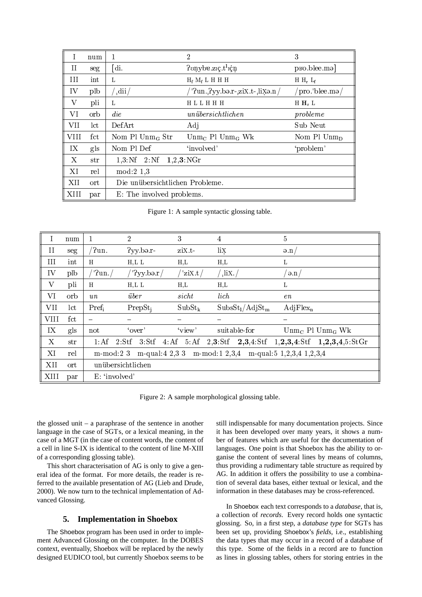| $\bf{l}$    | num            |                                                           | 2                                     | 3                                 |  |  |  |
|-------------|----------------|-----------------------------------------------------------|---------------------------------------|-----------------------------------|--|--|--|
| II          | seg            | [di.                                                      | Ponybe.zic.t <sup>1</sup> icn         | $p$ <sub>Bo</sub> .blee.ma        |  |  |  |
| III         | int            | L                                                         | $H_f$ $M_f$ L H H H                   | H $H_r$ $L_f$                     |  |  |  |
| IV          | plb            | $\mathrm{d}\mathrm{ii}$                                   | $'$ ?un. ?yy.bə.r- ziX.t- liXə.n/     | pro. blee. ma $/$                 |  |  |  |
| V           | pli            | L                                                         | HLLHHH                                | $H H_r L$<br>probleme<br>Sub Neut |  |  |  |
| VI          | orb            | $\mathop{die}$                                            | unübersichtlichen                     |                                   |  |  |  |
| <b>VII</b>  | $_{\rm lct}$   | DefArt                                                    | Adj                                   |                                   |  |  |  |
| <b>VIII</b> | fct            | Nom Pl $Unm_G$ Str                                        | $U \text{nm}_C$ Pl $U \text{nm}_G$ Wk | Nom Pl $Unm_D$                    |  |  |  |
| IX          | gls            | Nom Pl Def                                                | 'involved'                            | 'problem'                         |  |  |  |
| X           | str            | $1,3:\mathbb{N}$ f $2:\mathbb{N}$ f $1,2,3:\mathbb{N}$ Gr |                                       |                                   |  |  |  |
| ΧI          | rel            | $mod: 2$ 1,3                                              |                                       |                                   |  |  |  |
| XII         | $\mathrm{ort}$ | Die unübersichtlichen Probleme.                           |                                       |                                   |  |  |  |
| XIII        | par            | E: The involved problems.                                 |                                       |                                   |  |  |  |

Figure 1: A sample syntactic glossing table.

|             | num          |                                                                              | $\overline{2}$          | 3                    | 4                                       | 5                                                                                        |  |  |  |
|-------------|--------------|------------------------------------------------------------------------------|-------------------------|----------------------|-----------------------------------------|------------------------------------------------------------------------------------------|--|--|--|
| II          | seg          | $\sqrt{2}$ un.                                                               | $2$ yy.bə. $r-$         | ziX.t-               | lix                                     | $\partial$ .n                                                                            |  |  |  |
| III         | int          | H                                                                            | $H,L$ L                 | H,L                  | H,L                                     | Г                                                                                        |  |  |  |
| IV          | plb          | $'$ ?un.                                                                     | $^{\prime}$ '?yy.bə.r / | $^{\prime}$ 'ziX.t / | $\lim$                                  | $^{\prime}$ ə.n /                                                                        |  |  |  |
| $\mathbf V$ | pli          | H                                                                            | $H,L$ L                 | $_{\rm H,L}$         | $_{\rm H,L}$                            | Г                                                                                        |  |  |  |
| VI          | orb          | u n                                                                          | über                    | sicht                | lich                                    | en                                                                                       |  |  |  |
| <b>VII</b>  | $_{\rm lct}$ | $Pref_i$                                                                     | PrepSt <sub>i</sub>     | $SubSt_{k}$          | SubsSt <sub>1</sub> /AdjSt <sub>m</sub> | $AdjFlex_n$                                                                              |  |  |  |
| <b>VIII</b> | fct          |                                                                              |                         |                      |                                         |                                                                                          |  |  |  |
| IX          | gls          | not                                                                          | 'over'                  | 'view'               | suitable-for                            | Unm <sub>C</sub> Pl Unm <sub>G</sub> Wk                                                  |  |  |  |
| X           | str          | $1:$ Af                                                                      |                         |                      |                                         | 2: Stf $3:$ Stf $4:$ Af $5:$ Af $2,3:$ Stf $2,3,4:$ Stf $1,2,3,4:$ Stf $1,2,3,4,5:$ StGr |  |  |  |
| XI          | rel          | m-mod: 2 3 m-qual: 4 2, 3 3 m-mod: 1 2, 3, 4 m-qual: 5 1, 2, 3, 4 1, 2, 3, 4 |                         |                      |                                         |                                                                                          |  |  |  |
| XII         | ort          |                                                                              | unübersichtlichen       |                      |                                         |                                                                                          |  |  |  |
| XIII        | par          | E: 'involved'                                                                |                         |                      |                                         |                                                                                          |  |  |  |

Figure 2: A sample morphological glossing table.

the glossed unit – a paraphrase of the sentence in another language in the case of SGTs, or a lexical meaning, in the case of a MGT (in the case of content words, the content of a cell in line S-IX is identical to the content of line M-XIII of a corresponding glossing table).

This short characterisation of AG is only to give a general idea of the format. For more details, the reader is referred to the available presentation of AG (Lieb and Drude, 2000). We now turn to the technical implementation of Advanced Glossing.

### **5. Implementation in Shoebox**

The Shoebox program has been used in order to implement Advanced Glossing on the computer. In the DOBES context, eventually, Shoebox will be replaced by the newly designed EUDICO tool, but currently Shoebox seems to be still indispensable for many documentation projects. Since it has been developed over many years, it shows a number of features which are useful for the documentation of languages. One point is that Shoebox has the ability to organise the content of several lines by means of columns, thus providing a rudimentary table structure as required by AG. In addition it offers the possibility to use a combination of several data bases, either textual or lexical, and the information in these databases may be cross-referenced.

In Shoebox each text corresponds to a *database*, that is, a collection of *records*. Every record holds one syntactic glossing. So, in a first step, a *database type* for SGTs has been set up, providing Shoebox's *fields*, i.e., establishing the data types that may occur in a record of a database of this type. Some of the fields in a record are to function as lines in glossing tables, others for storing entries in the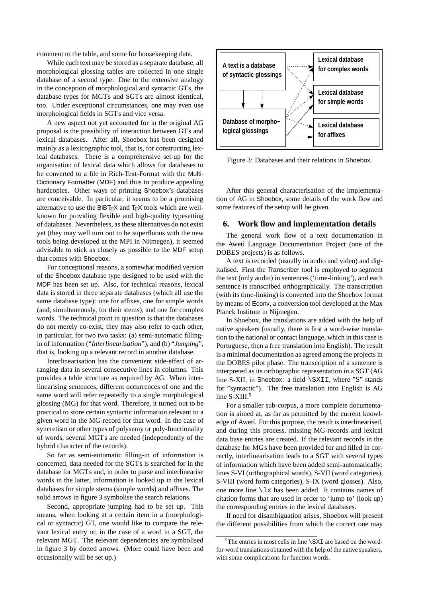comment to the table, and some for housekeeping data.

While each text may be stored as a separate database, all morphological glossing tables are collected in one single database of a second type. Due to the extensive analogy in the conception of morphological and syntactic GTs, the database types for MGTs and SGTs are almost identical, too. Under exceptional circumstances, one may even use morphological fields in SGTs and vice versa.

A new aspect not yet accounted for in the original AG proposal is the possibility of interaction between GTs and lexical databases. After all, Shoebox has been designed mainly as a lexicographic tool, that is, for constructing lexical databases. There is a comprehensive set-up for the organisation of lexical data which allows for databases to be converted to a file in Rich-Text-Format with the Multi-Dictionary Formatter (MDF) and thus to produce appealing hardcopies. Other ways of printing Shoebox's databases are conceivable. In particular, it seems to be a promising alternative to use the BiBT $\neq$ X and T $\neq$ X tools which are wellknown for providing flexible and high-quality typesetting of databases. Nevertheless, as these alternatives do not exist yet (they may well turn out to be superfluous with the new tools being developed at the MPI in Nijmegen), it seemed advisable to stick as closely as possible to the MDF setup that comes with Shoebox.

For conceptional reasons, a somewhat modified version of the Shoebox database type designed to be used with the MDF has been set up. Also, for technical reasons, lexical data is stored in three separate databases (which all use the same database type): one for affixes, one for simple words (and, simultaneously, for their stems), and one for complex words. The technical point in question is that the databases do not merely co-exist, they may also refer to each other, in particular, for two two tasks: (a) semi-automatic fillingin of information ("*Interlinearisation*"), and (b) "*Jumping*", that is, looking up a relevant record in another database.

Interlinearisation has the convenient side-effect of arranging data in several consecutive lines in columns. This provides a table structure as required by AG. When interlinearising sentences, different occurrences of one and the same word will refer repeatedly to a single morphological glossing (MG) for that word. Therefore, it turned out to be practical to store certain syntactic information relevant to a given word in the MG-record for that word. In the case of syncretism or other types of polysemy or poly-functionality of words, several MGTs are needed (independently of the hybrid character of the records).

So far as semi-automatic filling-in of information is concerned, data needed for the SGTs is searched for in the database for MGTs and, in order to parse and interlinearise words in the latter, information is looked up in the lexical databases for simple stems (simple words) and affixes. The solid arrows in figure 3 symbolise the search relations.

Second, appropriate jumping had to be set up. This means, when looking at a certain item in a (morphological or syntactic) GT, one would like to compare the relevant lexical entry or, in the case of a word in a SGT, the relevant MGT. The relevant dependencies are symbolised in figure 3 by dotted arrows. (More could have been and occasionally will be set up.)



Figure 3: Databases and their relations in Shoebox.

After this general characterisation of the implementation of AG in Shoebox, some details of the work flow and some features of the setup will be given.

#### **6. Work flow and implementation details**

The general work flow of a text documentation in the Awetí Language Documentation Project (one of the DOBES projects) is as follows.

A text is recorded (usually in audio and video) and digitalised. First the Transcriber tool is employed to segment the text (only audio) in sentences ('time-linking'), and each sentence is transcribed orthographically. The transcription (with its time-linking) is converted into the Shoebox format by means of Econv, a conversion tool developed at the Max Planck Institute in Nijmegen.

In Shoebox, the translations are added with the help of native speakers (usually, there is first a word-wise translation to the national or contact language, which in this case is Portuguese, then a free translation into English). The result is a minimal documentation as agreed among the projects in the DOBES pilot phase. The transcription of a sentence is interpreted as its orthographic representation in a SGT (AG line S-XII, in Shoebox: a field \SXII, where "S" stands for "syntactic"). The free translation into English is AG line S-XIII.<sup>5</sup>

For a smaller sub-corpus, a more complete documentation is aimed at, as far as permitted by the current knowledge of Awetí. For this purpose, the result is interlinearised, and during this process, missing MG-records and lexical data base entries are created. If the relevant records in the database for MGs have been provided for and filled in correctly, interlinearisation leads to a SGT with several types of information which have been added semi-automatically: lines S-VI (orthographical words), S-VII (word categories), S-VIII (word form categories), S-IX (word glosses). Also, one more line \lx has been added. It contains names of citation forms that are used in order to 'jump to' (look up) the corresponding entries in the lexical databases.

If need for disambiguation arises, Shoebox will present the different possibilities from which the correct one may

 $5$ The entries in most cells in line  $\S$ XI are based on the wordfor-word translations obtained with the help of the native speakers, with some complications for function words.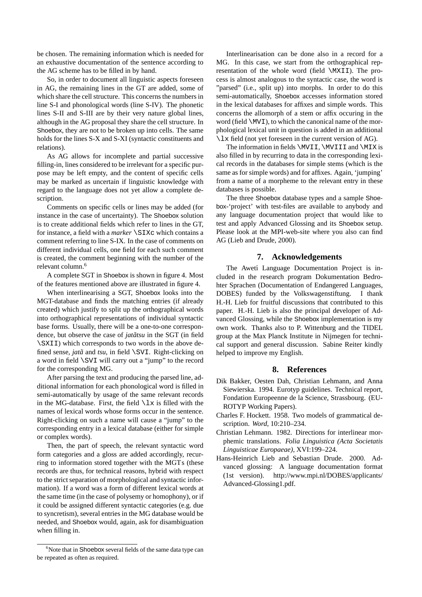be chosen. The remaining information which is needed for an exhaustive documentation of the sentence according to the AG scheme has to be filled in by hand.

So, in order to document all linguistic aspects foreseen in AG, the remaining lines in the GT are added, some of which share the cell structure. This concerns the numbers in line S-I and phonological words (line S-IV). The phonetic lines S-II and S-III are by their very nature global lines, although in the AG proposal they share the cell structure. In Shoebox, they are not to be broken up into cells. The same holds for the lines S-X and S-XI (syntactic constituents and relations).

As AG allows for incomplete and partial successive filling-in, lines considered to be irrelevant for a specific purpose may be left empty, and the content of specific cells may be marked as uncertain if linguistic knowledge with regard to the language does not yet allow a complete description.

Comments on specific cells or lines may be added (for instance in the case of uncertainty). The Shoebox solution is to create additional fields which refer to lines in the GT, for instance, a field with a *marker* \SIXc which contains a comment referring to line S-IX. In the case of comments on different individual cells, one field for each such comment is created, the comment beginning with the number of the relevant column.<sup>6</sup>

A complete SGT in Shoebox is shown in figure 4. Most of the features mentioned above are illustrated in figure 4.

When interlinearising a SGT, Shoebox looks into the MGT-database and finds the matching entries (if already created) which justify to split up the orthographical words into orthographical representations of individual syntactic base forms. Usually, there will be a one-to-one correspondence, but observe the case of *jatatsu* in the SGT (in field \SXII) which corresponds to two words in the above defined sense, *jatã* and *tsu*, in field \SVI. Right-clicking on a word in field \SVI will carry out a "jump" to the record for the corresponding MG.

After parsing the text and producing the parsed line, additional information for each phonological word is filled in semi-automatically by usage of the same relevant records in the MG-database. First, the field  $\lambda x$  is filled with the names of lexical words whose forms occur in the sentence. Right-clicking on such a name will cause a "jump" to the corresponding entry in a lexical database (either for simple or complex words).

Then, the part of speech, the relevant syntactic word form categories and a gloss are added accordingly, recurring to information stored together with the MGTs (these records are thus, for technical reasons, hybrid with respect to the strict separation of morphological and syntactic information). If a word was a form of different lexical words at the same time (in the case of polysemy or homophony), or if it could be assigned different syntactic categories (e.g. due to syncretism), several entries in the MG database would be needed, and Shoebox would, again, ask for disambiguation when filling in.

Interlinearisation can be done also in a record for a MG. In this case, we start from the orthographical representation of the whole word (field \MXII). The process is almost analogous to the syntactic case, the word is "parsed" (i.e., split up) into morphs. In order to do this semi-automatically, Shoebox accesses information stored in the lexical databases for affixes and simple words. This concerns the allomorph of a stem or affix occuring in the word (field  $\MVI$ ), to which the canonical name of the morphological lexical unit in question is added in an additional \lx field (not yet foreseen in the current version of AG).

The information in fields  $\MVII$ ,  $\MVIII$  and  $\MIX$  is also filled in by recurring to data in the corresponding lexical records in the databases for simple stems (which is the same as for simple words) and for affixes. Again, 'jumping' from a name of a morpheme to the relevant entry in these databases is possible.

The three Shoebox database types and a sample Shoebox-'project' with test-files are available to anybody and any language documentation project that would like to test and apply Advanced Glossing and its Shoebox setup. Please look at the MPI-web-site where you also can find AG (Lieb and Drude, 2000).

## **7. Acknowledgements**

The Aweti Language Documentation Project is included in the research program Dokumentation Bedrohter Sprachen (Documentation of Endangered Languages, DOBES) funded by the Volkswagenstiftung. I thank H.-H. Lieb for fruitful discussions that contributed to this paper. H.-H. Lieb is also the principal developer of Advanced Glossing, while the Shoebox implementation is my own work. Thanks also to P. Wittenburg and the TIDEL group at the Max Planck Institute in Nijmegen for technical support and general discussion. Sabine Reiter kindly helped to improve my English.

# **8. References**

- Dik Bakker, Oesten Dah, Christian Lehmann, and Anna Siewierska. 1994. Eurotyp guidelines. Technical report, Fondation Europeenne de la Science, Strassbourg. (EU-ROTYP Working Papers).
- Charles F. Hockett. 1958. Two models of grammatical description. *Word*, 10:210–234.
- Christian Lehmann. 1982. Directions for interlinear morphemic translations. *Folia Linguistica (Acta Societatis Linguisticae Europaeae)*, XVI:199–224.
- Hans-Heinrich Lieb and Sebastian Drude. 2000. Advanced glossing: A language documentation format (1st version). http://www.mpi.nl/DOBES/applicants/ Advanced-Glossing1.pdf.

<sup>&</sup>lt;sup>6</sup>Note that in Shoebox several fields of the same data type can be repeated as often as required.